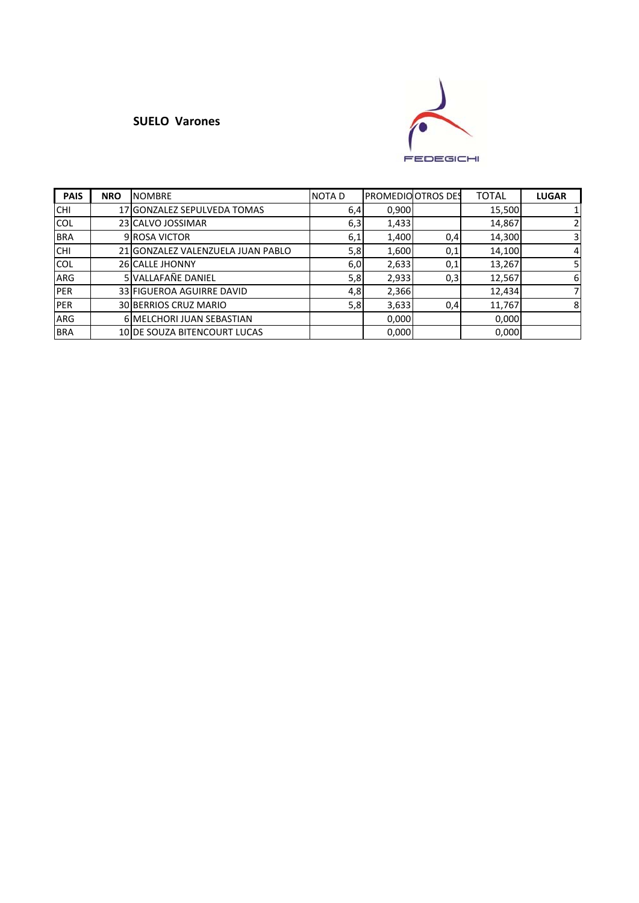### **SUELO Varones**



| <b>PAIS</b> | <b>NRO</b> | <b>NOMBRE</b>                     | <b>NOTAD</b> | <b>PROMEDIO OTROS DES</b> |     | <b>TOTAL</b> | <b>LUGAR</b>   |
|-------------|------------|-----------------------------------|--------------|---------------------------|-----|--------------|----------------|
| <b>CHI</b>  |            | 17 GONZALEZ SEPULVEDA TOMAS       | 6,4          | 0,900                     |     | 15,500       |                |
| <b>COL</b>  |            | 23 CALVO JOSSIMAR                 | 6,3          | 1,433                     |     | 14,867       | 2 <sup>1</sup> |
| <b>BRA</b>  |            | 9 ROSA VICTOR                     | 6,1          | 1,400                     | 0,4 | 14,300       | 31             |
| <b>CHI</b>  |            | 21 GONZALEZ VALENZUELA JUAN PABLO | 5,8          | 1,600                     | 0,1 | 14,100       | $\overline{4}$ |
| <b>COL</b>  |            | 26 CALLE JHONNY                   | 6,0          | 2,633                     | 0,1 | 13,267       | 51             |
| <b>ARG</b>  |            | 5 VALLAFAÑE DANIEL                | 5,8          | 2,933                     | 0,3 | 12,567       | 6              |
| <b>IPER</b> |            | 33 FIGUEROA AGUIRRE DAVID         | 4,8          | 2,366                     |     | 12,434       |                |
| <b>PER</b>  |            | 30 BERRIOS CRUZ MARIO             | 5,8          | 3,633                     | 0,4 | 11,767       | 8              |
| <b>ARG</b>  |            | <b>6 MELCHORI JUAN SEBASTIAN</b>  |              | 0,000                     |     | 0,000        |                |
| <b>BRA</b>  |            | 10 DE SOUZA BITENCOURT LUCAS      |              | 0,000                     |     | 0,000        |                |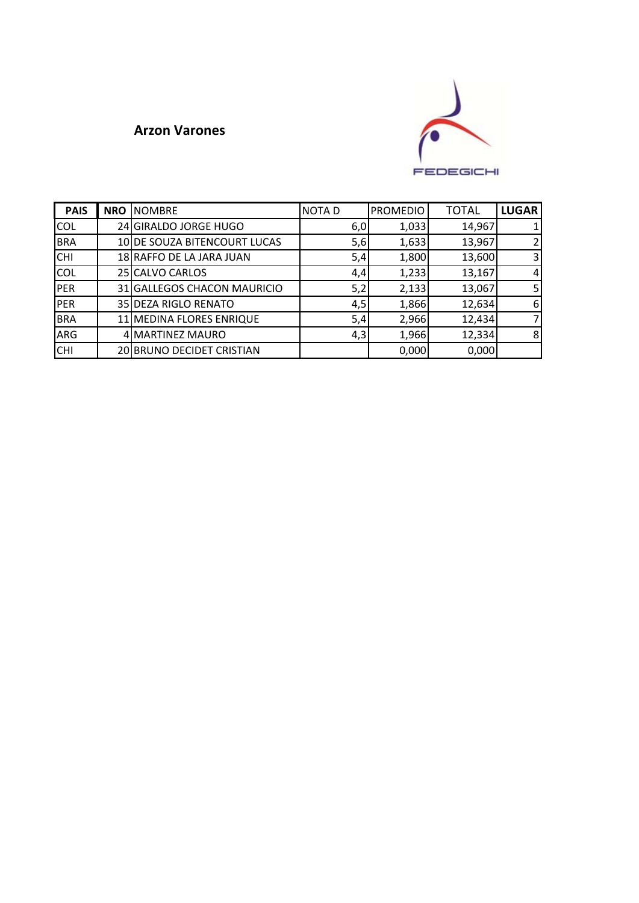## **Arzon Varones**



| <b>PAIS</b> | <b>NRO NOMBRE</b>            | <b>NOTAD</b> | <b>PROMEDIO</b> | <b>TOTAL</b> | <b>LUGAR</b>   |
|-------------|------------------------------|--------------|-----------------|--------------|----------------|
| <b>COL</b>  | 24 GIRALDO JORGE HUGO        | 6,0          | 1,033           | 14,967       |                |
| <b>BRA</b>  | 10 DE SOUZA BITENCOURT LUCAS | 5,6          | 1,633           | 13,967       | $\overline{2}$ |
| <b>CHI</b>  | 18 RAFFO DE LA JARA JUAN     | 5,4          | 1,800           | 13,600       | 3              |
| <b>COL</b>  | 25 CALVO CARLOS              | 4,4          | 1,233           | 13,167       | 4              |
| <b>PER</b>  | 31 GALLEGOS CHACON MAURICIO  | 5,2          | 2,133           | 13,067       | 5              |
| <b>PER</b>  | 35 DEZA RIGLO RENATO         | 4,5          | 1,866           | 12,634       | 6              |
| <b>BRA</b>  | 11 MEDINA FLORES ENRIQUE     | 5,4          | 2,966           | 12,434       | 7              |
| ARG         | 4 MARTINEZ MAURO             | 4,3          | 1,966           | 12,334       | 8              |
| <b>CHI</b>  | 20 BRUNO DECIDET CRISTIAN    |              | 0,000           | 0,000        |                |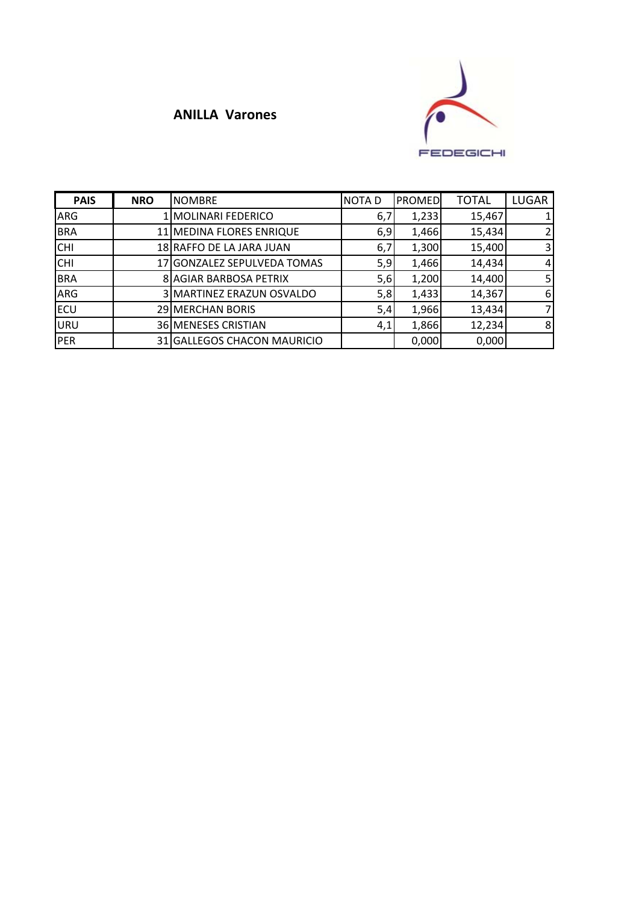# **ANILLA Varones**



| <b>PAIS</b> | <b>NRO</b> | <b>NOMBRE</b>                 | <b>NOTAD</b> | <b>PROMED</b> | <b>TOTAL</b> | <b>LUGAR</b> |
|-------------|------------|-------------------------------|--------------|---------------|--------------|--------------|
| ARG         |            | 1 MOLINARI FEDERICO           | 6,7          | 1,233         | 15,467       |              |
| <b>BRA</b>  |            | 11 MEDINA FLORES ENRIQUE      | 6,9          | 1,466         | 15,434       |              |
| <b>CHI</b>  |            | 18 RAFFO DE LA JARA JUAN      | 6,7          | 1,300         | 15,400       | 3            |
| <b>CHI</b>  |            | 17 GONZALEZ SEPULVEDA TOMAS   | 5,9          | 1,466         | 14,434       | 4            |
| <b>BRA</b>  |            | <b>8 AGIAR BARBOSA PETRIX</b> | 5,6          | 1,200         | 14,400       | 5            |
| <b>ARG</b>  |            | 3 MARTINEZ ERAZUN OSVALDO     | 5,8          | 1,433         | 14,367       | 6            |
| <b>ECU</b>  |            | 29 MERCHAN BORIS              | 5,4          | 1,966         | 13,434       |              |
| <b>URU</b>  |            | 36 MENESES CRISTIAN           | 4,1          | 1,866         | 12,234       | 8            |
| <b>PER</b>  |            | 31 GALLEGOS CHACON MAURICIO   |              | 0,000         | 0,000        |              |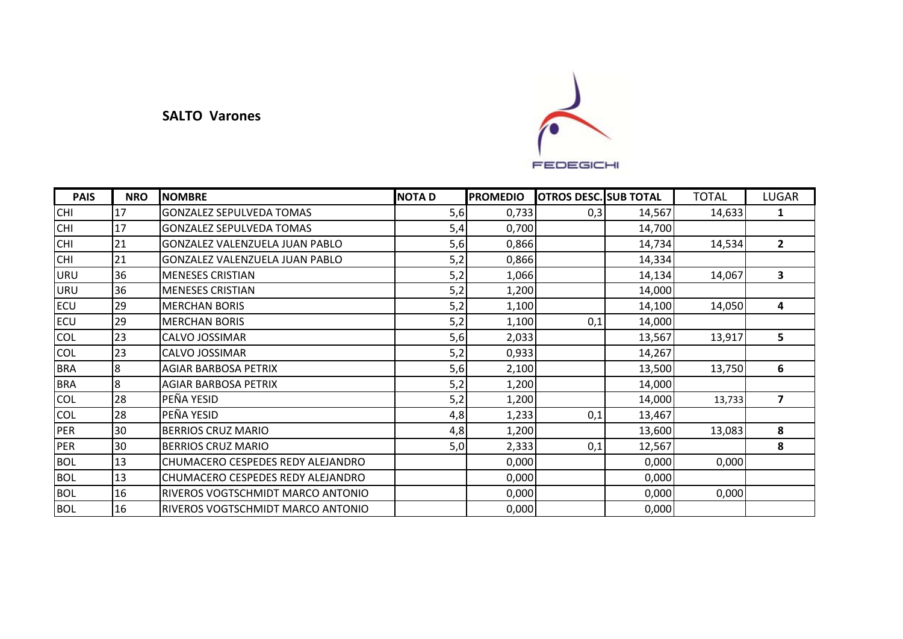#### **SALTO Varones**



| <b>PAIS</b> | <b>NRO</b> | <b>NOMBRE</b>                     | <b>NOTAD</b> | <b>PROMEDIO</b> | <b>OTROS DESC. SUB TOTAL</b> |        | <b>TOTAL</b> | <b>LUGAR</b>            |
|-------------|------------|-----------------------------------|--------------|-----------------|------------------------------|--------|--------------|-------------------------|
| <b>CHI</b>  | 17         | <b>GONZALEZ SEPULVEDA TOMAS</b>   | 5,6          | 0,733           | 0,3                          | 14,567 | 14,633       | 1                       |
| <b>CHI</b>  | 17         | <b>GONZALEZ SEPULVEDA TOMAS</b>   | 5,4          | 0,700           |                              | 14,700 |              |                         |
| <b>CHI</b>  | 21         | GONZALEZ VALENZUELA JUAN PABLO    | 5,6          | 0,866           |                              | 14,734 | 14,534       | $\overline{2}$          |
| <b>CHI</b>  | 21         | GONZALEZ VALENZUELA JUAN PABLO    | 5,2          | 0,866           |                              | 14,334 |              |                         |
| <b>URU</b>  | 36         | <b>MENESES CRISTIAN</b>           | 5,2          | 1,066           |                              | 14,134 | 14,067       | 3                       |
| <b>URU</b>  | 36         | <b>MENESES CRISTIAN</b>           | 5,2          | 1,200           |                              | 14,000 |              |                         |
| <b>ECU</b>  | 29         | <b>MERCHAN BORIS</b>              | 5,2          | 1,100           |                              | 14,100 | 14,050       | 4                       |
| <b>ECU</b>  | 29         | <b>MERCHAN BORIS</b>              | 5,2          | 1,100           | 0,1                          | 14,000 |              |                         |
| COL         | 23         | CALVO JOSSIMAR                    | 5,6          | 2,033           |                              | 13,567 | 13,917       | 5                       |
| <b>COL</b>  | 23         | CALVO JOSSIMAR                    | 5,2          | 0,933           |                              | 14,267 |              |                         |
| <b>BRA</b>  | 8          | AGIAR BARBOSA PETRIX              | 5,6          | 2,100           |                              | 13,500 | 13,750       | 6                       |
| <b>BRA</b>  | 8          | <b>AGIAR BARBOSA PETRIX</b>       | 5,2          | 1,200           |                              | 14,000 |              |                         |
| <b>COL</b>  | 28         | PEÑA YESID                        | 5,2          | 1,200           |                              | 14,000 | 13,733       | $\overline{\mathbf{z}}$ |
| <b>COL</b>  | 28         | PEÑA YESID                        | 4,8          | 1,233           | 0,1                          | 13,467 |              |                         |
| <b>PER</b>  | 30         | <b>BERRIOS CRUZ MARIO</b>         | 4,8          | 1,200           |                              | 13,600 | 13,083       | 8                       |
| PER         | 30         | <b>BERRIOS CRUZ MARIO</b>         | 5,0          | 2,333           | 0,1                          | 12,567 |              | 8                       |
| <b>BOL</b>  | 13         | CHUMACERO CESPEDES REDY ALEJANDRO |              | 0,000           |                              | 0,000  | 0,000        |                         |
| <b>BOL</b>  | 13         | CHUMACERO CESPEDES REDY ALEJANDRO |              | 0,000           |                              | 0,000  |              |                         |
| <b>BOL</b>  | 16         | RIVEROS VOGTSCHMIDT MARCO ANTONIO |              | 0,000           |                              | 0,000  | 0,000        |                         |
| <b>BOL</b>  | 16         | RIVEROS VOGTSCHMIDT MARCO ANTONIO |              | 0,000           |                              | 0,000  |              |                         |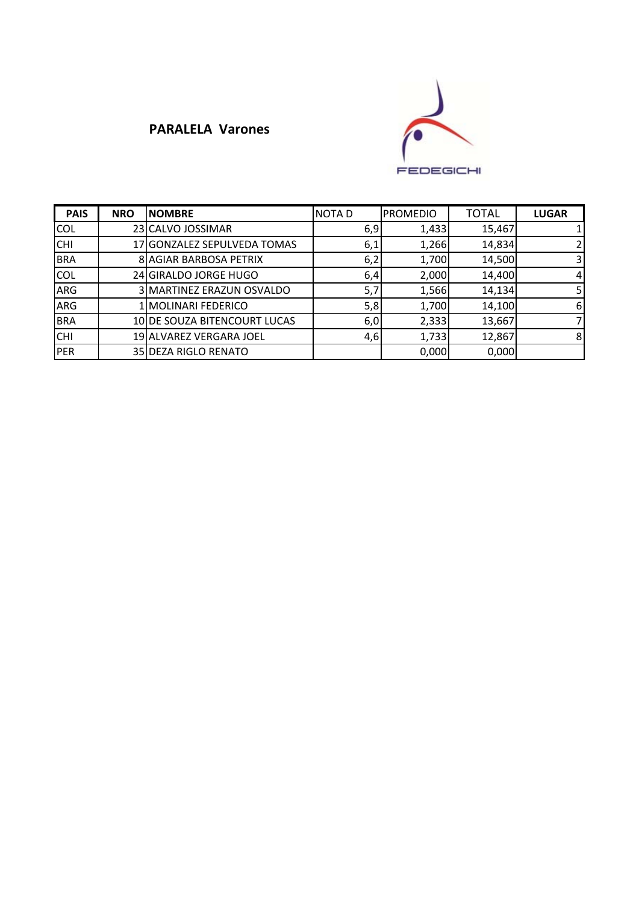## **PARALELA Varones**



| <b>PAIS</b> | <b>NRO</b> | <b>NOMBRE</b>                | <b>NOTAD</b> | <b>PROMEDIO</b> | <b>TOTAL</b> | <b>LUGAR</b>   |
|-------------|------------|------------------------------|--------------|-----------------|--------------|----------------|
| <b>COL</b>  |            | 23 CALVO JOSSIMAR            | 6,9          | 1,433           | 15,467       |                |
| <b>CHI</b>  |            | 17 GONZALEZ SEPULVEDA TOMAS  | 6,1          | 1,266           | 14,834       | $\overline{2}$ |
| <b>BRA</b>  |            | 8 AGIAR BARBOSA PETRIX       | 6,2          | 1,700           | 14,500       | 3              |
| <b>COL</b>  |            | 24 GIRALDO JORGE HUGO        | 6,4          | 2,000           | 14,400       | $\overline{4}$ |
| ARG         |            | 3 MARTINEZ ERAZUN OSVALDO    | 5,7          | 1,566           | 14,134       | 5              |
| ARG         |            | MOLINARI FEDERICO            | 5,8          | 1,700           | 14,100       | 6              |
| <b>BRA</b>  |            | 10 DE SOUZA BITENCOURT LUCAS | 6,0          | 2,333           | 13,667       | 7              |
| <b>CHI</b>  |            | 19 ALVAREZ VERGARA JOEL      | 4,6          | 1,733           | 12,867       | 8              |
| PER         |            | 35 DEZA RIGLO RENATO         |              | 0,000           | 0,000        |                |